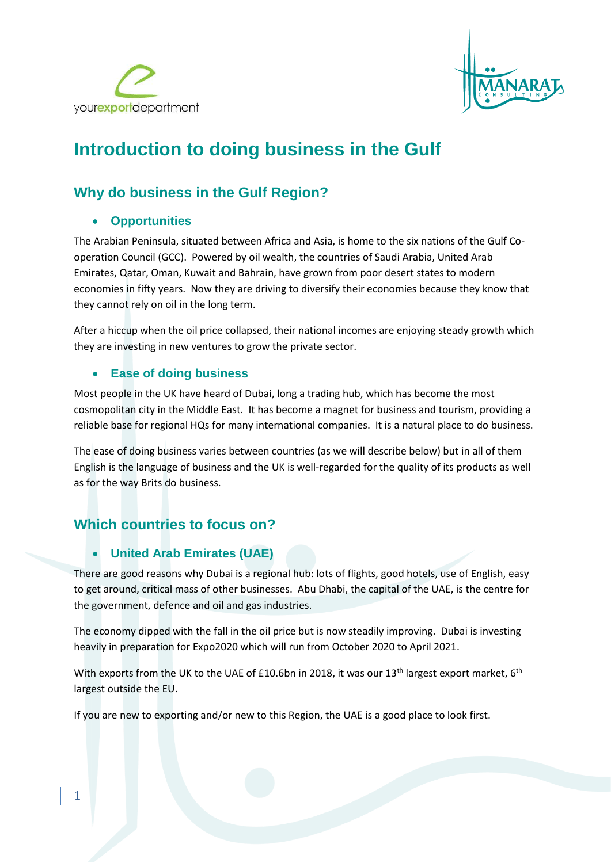



# **Introduction to doing business in the Gulf**

## **Why do business in the Gulf Region?**

## • **Opportunities**

The Arabian Peninsula, situated between Africa and Asia, is home to the six nations of the Gulf Cooperation Council (GCC). Powered by oil wealth, the countries of Saudi Arabia, United Arab Emirates, Qatar, Oman, Kuwait and Bahrain, have grown from poor desert states to modern economies in fifty years. Now they are driving to diversify their economies because they know that they cannot rely on oil in the long term.

After a hiccup when the oil price collapsed, their national incomes are enjoying steady growth which they are investing in new ventures to grow the private sector.

## • **Ease of doing business**

Most people in the UK have heard of Dubai, long a trading hub, which has become the most cosmopolitan city in the Middle East. It has become a magnet for business and tourism, providing a reliable base for regional HQs for many international companies. It is a natural place to do business.

The ease of doing business varies between countries (as we will describe below) but in all of them English is the language of business and the UK is well-regarded for the quality of its products as well as for the way Brits do business.

## **Which countries to focus on?**

## • **United Arab Emirates (UAE)**

There are good reasons why Dubai is a regional hub: lots of flights, good hotels, use of English, easy to get around, critical mass of other businesses. Abu Dhabi, the capital of the UAE, is the centre for the government, defence and oil and gas industries.

The economy dipped with the fall in the oil price but is now steadily improving. Dubai is investing heavily in preparation for Expo2020 which will run from October 2020 to April 2021.

With exports from the UK to the UAE of £10.6bn in 2018, it was our 13<sup>th</sup> largest export market, 6<sup>th</sup> largest outside the EU.

If you are new to exporting and/or new to this Region, the UAE is a good place to look first.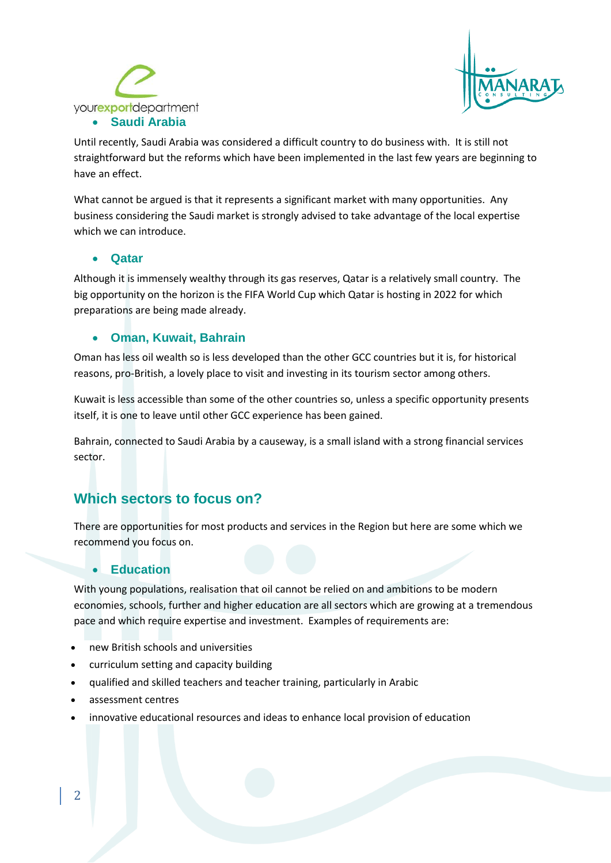



Until recently, Saudi Arabia was considered a difficult country to do business with. It is still not straightforward but the reforms which have been implemented in the last few years are beginning to have an effect.

What cannot be argued is that it represents a significant market with many opportunities. Any business considering the Saudi market is strongly advised to take advantage of the local expertise which we can introduce.

#### • **Qatar**

Although it is immensely wealthy through its gas reserves, Qatar is a relatively small country. The big opportunity on the horizon is the FIFA World Cup which Qatar is hosting in 2022 for which preparations are being made already.

#### • **Oman, Kuwait, Bahrain**

Oman has less oil wealth so is less developed than the other GCC countries but it is, for historical reasons, pro-British, a lovely place to visit and investing in its tourism sector among others.

Kuwait is less accessible than some of the other countries so, unless a specific opportunity presents itself, it is one to leave until other GCC experience has been gained.

Bahrain, connected to Saudi Arabia by a causeway, is a small island with a strong financial services sector.

## **Which sectors to focus on?**

There are opportunities for most products and services in the Region but here are some which we recommend you focus on.

#### • **Education**

With young populations, realisation that oil cannot be relied on and ambitions to be modern economies, schools, further and higher education are all sectors which are growing at a tremendous pace and which require expertise and investment. Examples of requirements are:

- new British schools and universities
- curriculum setting and capacity building
- qualified and skilled teachers and teacher training, particularly in Arabic
- assessment centres
- innovative educational resources and ideas to enhance local provision of education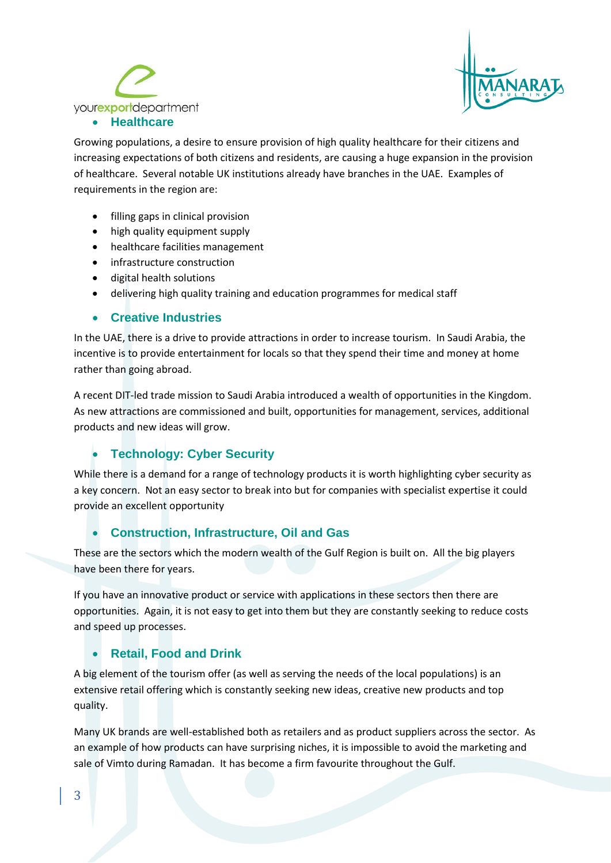



Growing populations, a desire to ensure provision of high quality healthcare for their citizens and increasing expectations of both citizens and residents, are causing a huge expansion in the provision of healthcare. Several notable UK institutions already have branches in the UAE. Examples of requirements in the region are:

- filling gaps in clinical provision
- high quality equipment supply
- healthcare facilities management
- infrastructure construction
- digital health solutions
- delivering high quality training and education programmes for medical staff

### • **Creative Industries**

In the UAE, there is a drive to provide attractions in order to increase tourism. In Saudi Arabia, the incentive is to provide entertainment for locals so that they spend their time and money at home rather than going abroad.

A recent DIT-led trade mission to Saudi Arabia introduced a wealth of opportunities in the Kingdom. As new attractions are commissioned and built, opportunities for management, services, additional products and new ideas will grow.

## • **Technology: Cyber Security**

While there is a demand for a range of technology products it is worth highlighting cyber security as a key concern. Not an easy sector to break into but for companies with specialist expertise it could provide an excellent opportunity

### • **Construction, Infrastructure, Oil and Gas**

These are the sectors which the modern wealth of the Gulf Region is built on. All the big players have been there for years.

If you have an innovative product or service with applications in these sectors then there are opportunities. Again, it is not easy to get into them but they are constantly seeking to reduce costs and speed up processes.

## • **Retail, Food and Drink**

A big element of the tourism offer (as well as serving the needs of the local populations) is an extensive retail offering which is constantly seeking new ideas, creative new products and top quality.

Many UK brands are well-established both as retailers and as product suppliers across the sector. As an example of how products can have surprising niches, it is impossible to avoid the marketing and sale of Vimto during Ramadan. It has become a firm favourite throughout the Gulf.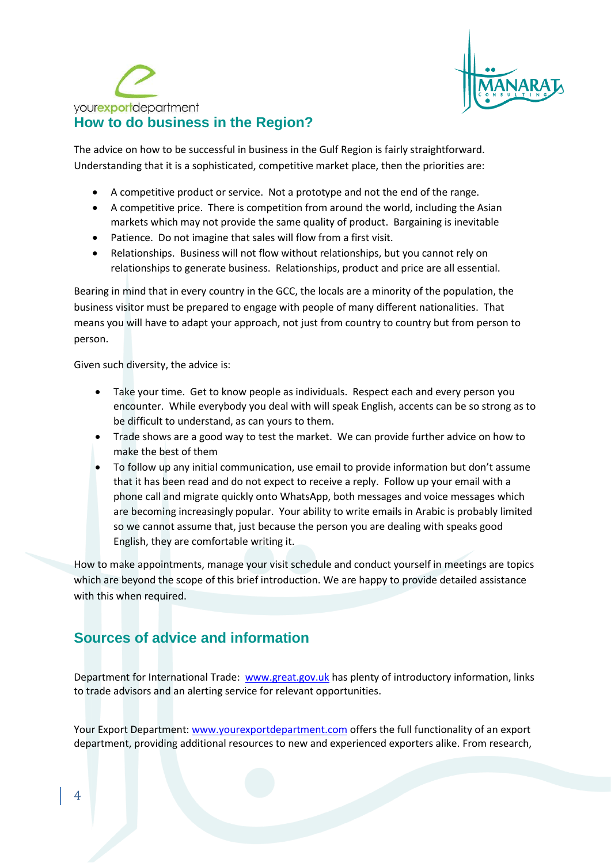



The advice on how to be successful in business in the Gulf Region is fairly straightforward. Understanding that it is a sophisticated, competitive market place, then the priorities are:

- A competitive product or service. Not a prototype and not the end of the range.
- A competitive price. There is competition from around the world, including the Asian markets which may not provide the same quality of product. Bargaining is inevitable
- Patience. Do not imagine that sales will flow from a first visit.
- Relationships. Business will not flow without relationships, but you cannot rely on relationships to generate business. Relationships, product and price are all essential.

Bearing in mind that in every country in the GCC, the locals are a minority of the population, the business visitor must be prepared to engage with people of many different nationalities. That means you will have to adapt your approach, not just from country to country but from person to person.

Given such diversity, the advice is:

- Take your time. Get to know people as individuals. Respect each and every person you encounter. While everybody you deal with will speak English, accents can be so strong as to be difficult to understand, as can yours to them.
- Trade shows are a good way to test the market. We can provide further advice on how to make the best of them
- To follow up any initial communication, use email to provide information but don't assume that it has been read and do not expect to receive a reply. Follow up your email with a phone call and migrate quickly onto WhatsApp, both messages and voice messages which are becoming increasingly popular. Your ability to write emails in Arabic is probably limited so we cannot assume that, just because the person you are dealing with speaks good English, they are comfortable writing it.

How to make appointments, manage your visit schedule and conduct yourself in meetings are topics which are beyond the scope of this brief introduction. We are happy to provide detailed assistance with this when required.

## **Sources of advice and information**

Department for International Trade: [www.great.gov.uk](http://www.great.gov.uk/) has plenty of introductory information, links to trade advisors and an alerting service for relevant opportunities.

Your Export Department: [www.yourexportdepartment.com](http://www.yourexportdepartment.com/) offers the full functionality of an export department, providing additional resources to new and experienced exporters alike. From research,